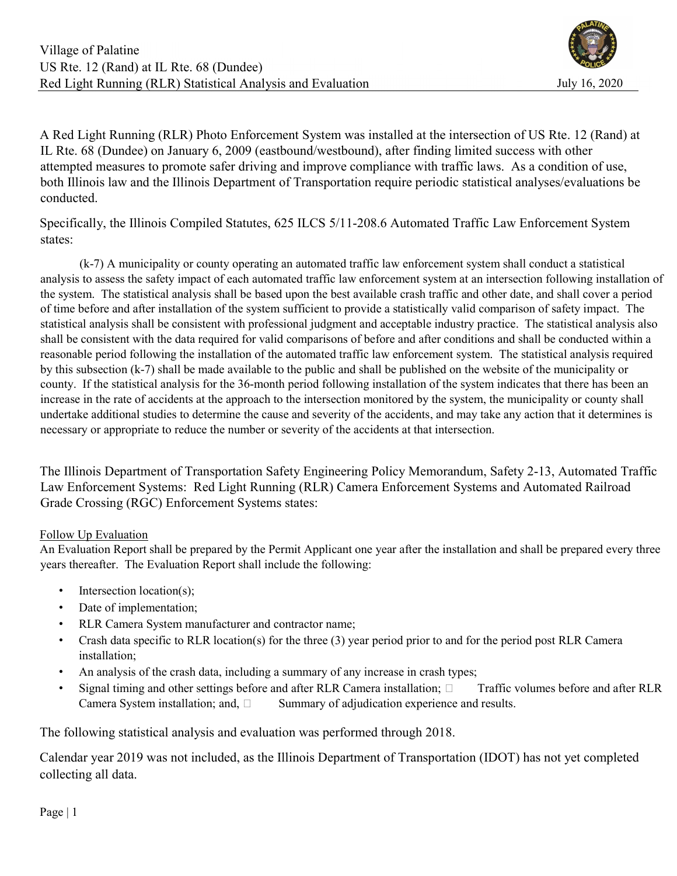A Red Light Running (RLR) Photo Enforcement System was installed at the intersection of US Rte. 12 (Rand) at IL Rte. 68 (Dundee) on January 6, 2009 (eastbound/westbound), after finding limited success with other attempted measures to promote safer driving and improve compliance with traffic laws. As a condition of use, both Illinois law and the Illinois Department of Transportation require periodic statistical analyses/evaluations be conducted.

Specifically, the Illinois Compiled Statutes, 625 ILCS 5/11-208.6 Automated Traffic Law Enforcement System states:

 (k-7) A municipality or county operating an automated traffic law enforcement system shall conduct a statistical analysis to assess the safety impact of each automated traffic law enforcement system at an intersection following installation of the system. The statistical analysis shall be based upon the best available crash traffic and other date, and shall cover a period of time before and after installation of the system sufficient to provide a statistically valid comparison of safety impact. The statistical analysis shall be consistent with professional judgment and acceptable industry practice. The statistical analysis also shall be consistent with the data required for valid comparisons of before and after conditions and shall be conducted within a reasonable period following the installation of the automated traffic law enforcement system. The statistical analysis required by this subsection (k-7) shall be made available to the public and shall be published on the website of the municipality or county. If the statistical analysis for the 36-month period following installation of the system indicates that there has been an increase in the rate of accidents at the approach to the intersection monitored by the system, the municipality or county shall undertake additional studies to determine the cause and severity of the accidents, and may take any action that it determines is necessary or appropriate to reduce the number or severity of the accidents at that intersection.

The Illinois Department of Transportation Safety Engineering Policy Memorandum, Safety 2-13, Automated Traffic Law Enforcement Systems: Red Light Running (RLR) Camera Enforcement Systems and Automated Railroad Grade Crossing (RGC) Enforcement Systems states:

### Follow Up Evaluation

An Evaluation Report shall be prepared by the Permit Applicant one year after the installation and shall be prepared every three years thereafter. The Evaluation Report shall include the following:

- Intersection location(s);
- Date of implementation;
- RLR Camera System manufacturer and contractor name;
- Crash data specific to RLR location(s) for the three (3) year period prior to and for the period post RLR Camera installation;
- An analysis of the crash data, including a summary of any increase in crash types;
- Signal timing and other settings before and after RLR Camera installation;  $\Box$  Traffic volumes before and after RLR Camera System installation; and,  $\square$  Summary of adjudication experience and results.

The following statistical analysis and evaluation was performed through 2018.

Calendar year 2019 was not included, as the Illinois Department of Transportation (IDOT) has not yet completed collecting all data.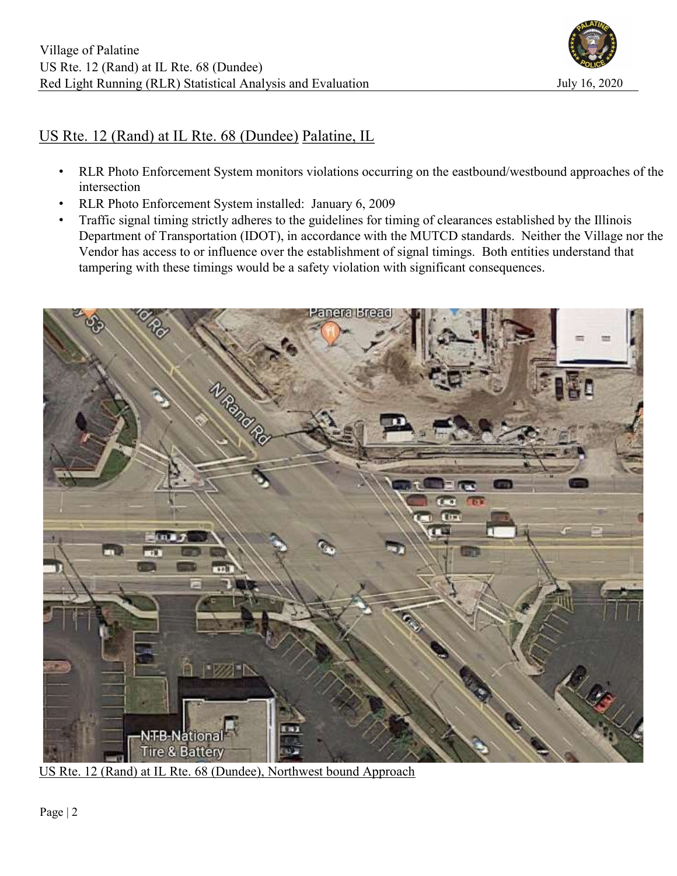

# US Rte. 12 (Rand) at IL Rte. 68 (Dundee) Palatine, IL

- RLR Photo Enforcement System monitors violations occurring on the eastbound/westbound approaches of the intersection
- RLR Photo Enforcement System installed: January 6, 2009
- Traffic signal timing strictly adheres to the guidelines for timing of clearances established by the Illinois Department of Transportation (IDOT), in accordance with the MUTCD standards. Neither the Village nor the Vendor has access to or influence over the establishment of signal timings. Both entities understand that tampering with these timings would be a safety violation with significant consequences.



US Rte. 12 (Rand) at IL Rte. 68 (Dundee), Northwest bound Approach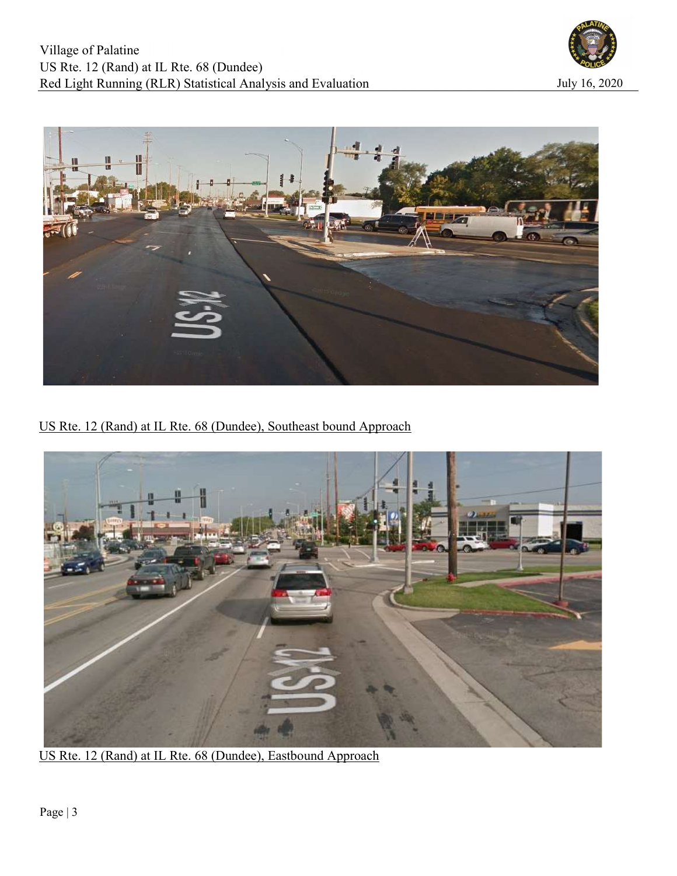



US Rte. 12 (Rand) at IL Rte. 68 (Dundee), Southeast bound Approach



US Rte. 12 (Rand) at IL Rte. 68 (Dundee), Eastbound Approach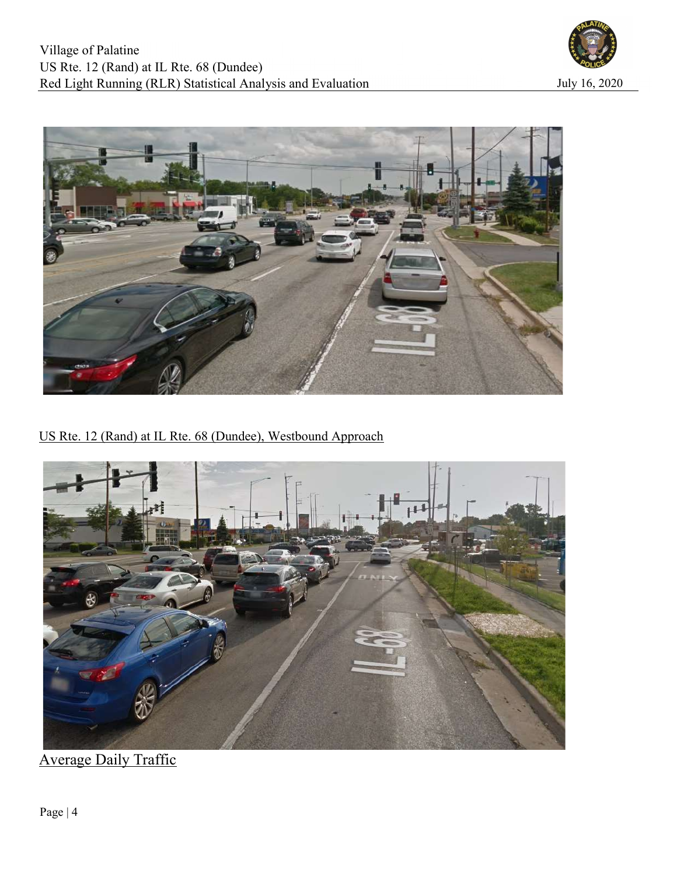



US Rte. 12 (Rand) at IL Rte. 68 (Dundee), Westbound Approach



Average Daily Traffic

Page | 4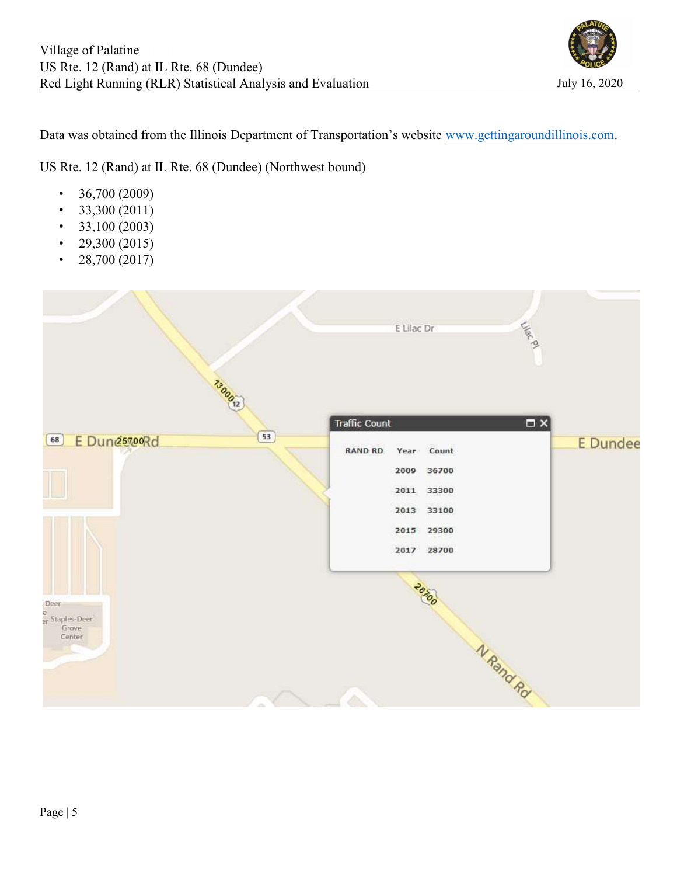

Data was obtained from the Illinois Department of Transportation's website www.gettingaroundillinois.com.

US Rte. 12 (Rand) at IL Rte. 68 (Dundee) (Northwest bound)

- $36,700 (2009)$
- $33,300 (2011)$
- $\cdot$  33,100 (2003)
- 29,300 (2015)
- 28,700 (2017)

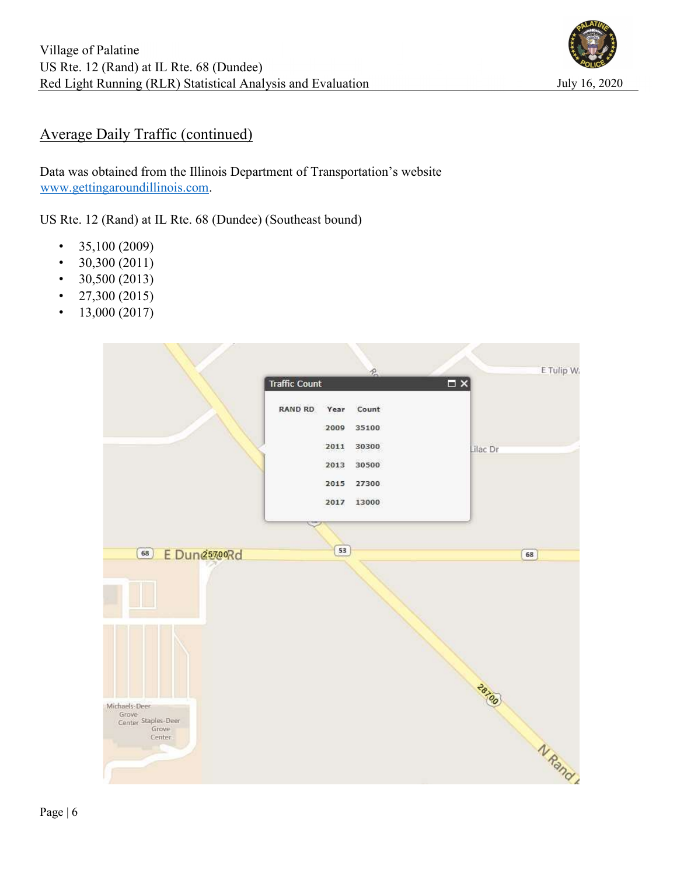

## Average Daily Traffic (continued)

Data was obtained from the Illinois Department of Transportation's website www.gettingaroundillinois.com.

US Rte. 12 (Rand) at IL Rte. 68 (Dundee) (Southeast bound)

- $\cdot$  35,100 (2009)
- $30,300 (2011)$
- $30,500 (2013)$
- $27,300 (2015)$
- $13,000 (2017)$

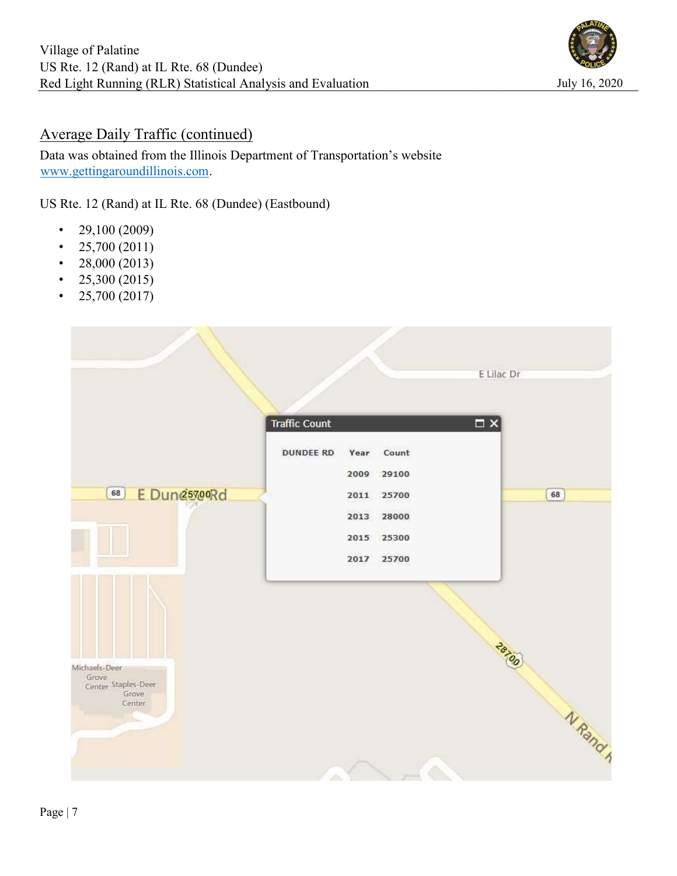

## Average Daily Traffic (continued)

Data was obtained from the Illinois Department of Transportation's website www.gettingaroundillinois.com.

US Rte. 12 (Rand) at IL Rte. 68 (Dundee) (Eastbound)

- 29,100 (2009)
- $25,700 (2011)$
- 28,000 (2013)
- $25,300 (2015)$
- $25,700 (2017)$

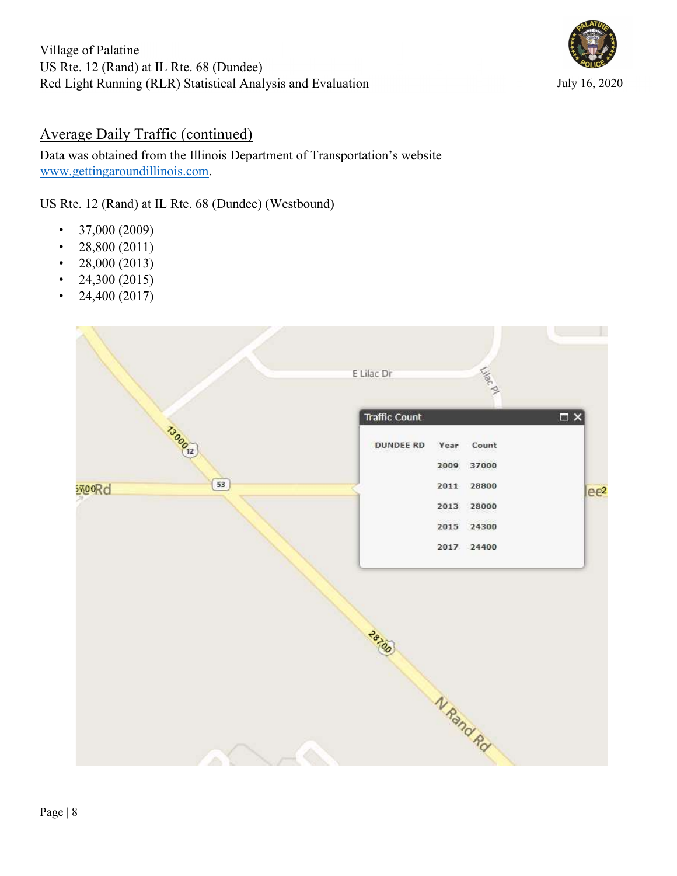

## Average Daily Traffic (continued)

Data was obtained from the Illinois Department of Transportation's website www.gettingaroundillinois.com.

US Rte. 12 (Rand) at IL Rte. 68 (Dundee) (Westbound)

- $\cdot$  37,000 (2009)
- $28,800(2011)$
- 28,000 (2013)
- 24,300 (2015)
- 24,400 (2017)

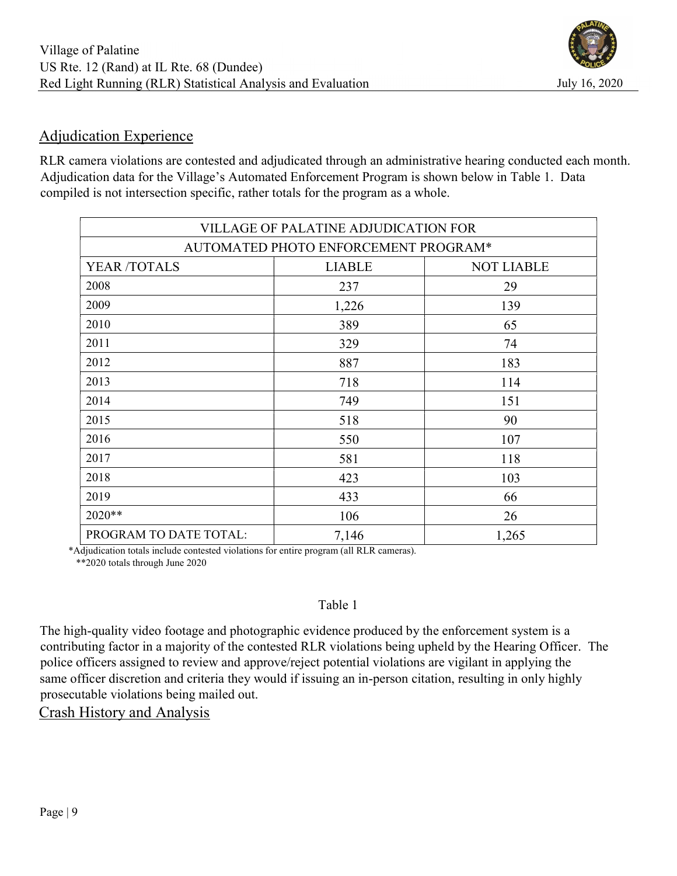# Adjudication Experience

RLR camera violations are contested and adjudicated through an administrative hearing conducted each month. Adjudication data for the Village's Automated Enforcement Program is shown below in Table 1. Data compiled is not intersection specific, rather totals for the program as a whole.

| VILLAGE OF PALATINE ADJUDICATION FOR |               |                   |  |  |  |  |  |  |  |
|--------------------------------------|---------------|-------------------|--|--|--|--|--|--|--|
| AUTOMATED PHOTO ENFORCEMENT PROGRAM* |               |                   |  |  |  |  |  |  |  |
| YEAR /TOTALS                         | <b>LIABLE</b> | <b>NOT LIABLE</b> |  |  |  |  |  |  |  |
| 2008                                 | 237           | 29                |  |  |  |  |  |  |  |
| 2009                                 | 1,226         | 139               |  |  |  |  |  |  |  |
| 2010                                 | 389           | 65                |  |  |  |  |  |  |  |
| 2011                                 | 329           | 74                |  |  |  |  |  |  |  |
| 2012                                 | 887           | 183               |  |  |  |  |  |  |  |
| 2013                                 | 718           | 114               |  |  |  |  |  |  |  |
| 2014                                 | 749           | 151               |  |  |  |  |  |  |  |
| 2015                                 | 518           | 90                |  |  |  |  |  |  |  |
| 2016                                 | 550           | 107               |  |  |  |  |  |  |  |
| 2017                                 | 581           | 118               |  |  |  |  |  |  |  |
| 2018                                 | 423           | 103               |  |  |  |  |  |  |  |
| 2019                                 | 433           | 66                |  |  |  |  |  |  |  |
| 2020**                               | 106           | 26                |  |  |  |  |  |  |  |
| PROGRAM TO DATE TOTAL:               | 7,146         | 1,265             |  |  |  |  |  |  |  |

 \*Adjudication totals include contested violations for entire program (all RLR cameras). \*\*2020 totals through June 2020

## Table 1

The high-quality video footage and photographic evidence produced by the enforcement system is a contributing factor in a majority of the contested RLR violations being upheld by the Hearing Officer. The police officers assigned to review and approve/reject potential violations are vigilant in applying the same officer discretion and criteria they would if issuing an in-person citation, resulting in only highly prosecutable violations being mailed out.

Crash History and Analysis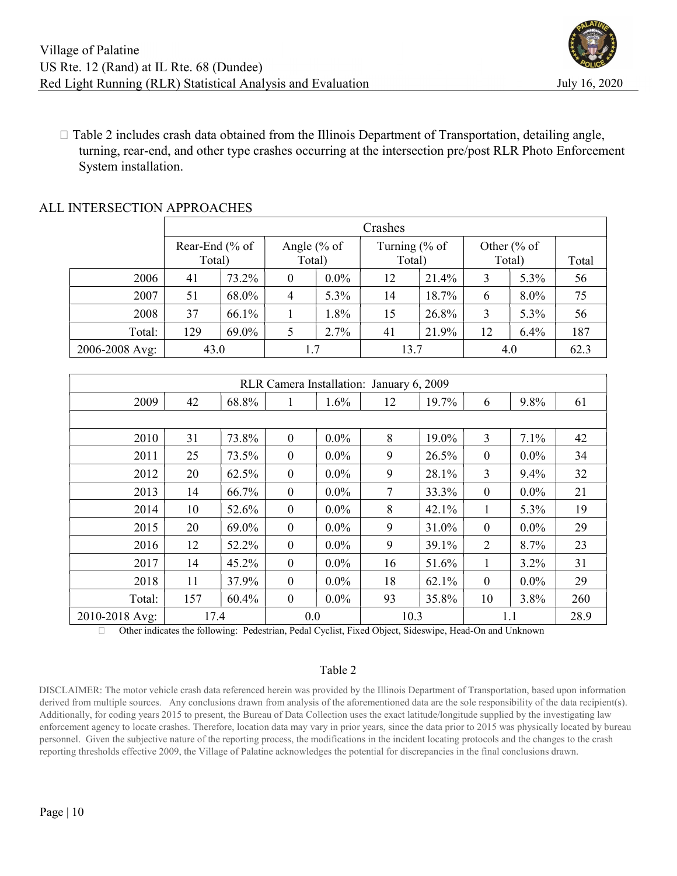

 $\Box$  Table 2 includes crash data obtained from the Illinois Department of Transportation, detailing angle, turning, rear-end, and other type crashes occurring at the intersection pre/post RLR Photo Enforcement System installation.

|                | Crashes         |       |                            |         |                |       |                        |      |      |  |
|----------------|-----------------|-------|----------------------------|---------|----------------|-------|------------------------|------|------|--|
|                | Rear-End $%$ of |       | Angle $% of$               |         | Turning $% of$ |       | Other $\frac{6}{6}$ of |      |      |  |
|                | Total)          |       | Total)<br>Total)<br>Total) |         |                | Total |                        |      |      |  |
| 2006           | 41              | 73.2% | 0                          | $0.0\%$ | 12             | 21.4% | 3                      | 5.3% | 56   |  |
| 2007           | 51              | 68.0% | 4                          | 5.3%    | 14             | 18.7% | 6                      | 8.0% | 75   |  |
| 2008           | 37              | 66.1% |                            | $1.8\%$ | 15             | 26.8% | 3                      | 5.3% | 56   |  |
| Total:         | 129             | 69.0% |                            | 2.7%    | 41             | 21.9% | 12                     | 6.4% | 187  |  |
| 2006-2008 Avg: | 43.0            |       | 1.7                        |         | 13.7           |       |                        | 4.0  | 62.3 |  |

### ALL INTERSECTION APPROACHES

| RLR Camera Installation: January 6, 2009 |      |       |                    |         |    |       |                  |         |     |  |  |
|------------------------------------------|------|-------|--------------------|---------|----|-------|------------------|---------|-----|--|--|
| 2009                                     | 42   | 68.8% |                    | 1.6%    | 12 | 19.7% | 6                | 9.8%    | 61  |  |  |
|                                          |      |       |                    |         |    |       |                  |         |     |  |  |
| 2010                                     | 31   | 73.8% | $\mathbf{0}$       | $0.0\%$ | 8  | 19.0% | 3                | 7.1%    | 42  |  |  |
| 2011                                     | 25   | 73.5% | $\boldsymbol{0}$   | $0.0\%$ | 9  | 26.5% | $\boldsymbol{0}$ | $0.0\%$ | 34  |  |  |
| 2012                                     | 20   | 62.5% | $\boldsymbol{0}$   | $0.0\%$ | 9  | 28.1% | 3                | 9.4%    | 32  |  |  |
| 2013                                     | 14   | 66.7% | $\mathbf{0}$       | $0.0\%$ | 7  | 33.3% | $\boldsymbol{0}$ | $0.0\%$ | 21  |  |  |
| 2014                                     | 10   | 52.6% | $\boldsymbol{0}$   | $0.0\%$ | 8  | 42.1% | 1                | 5.3%    | 19  |  |  |
| 2015                                     | 20   | 69.0% | $\boldsymbol{0}$   | $0.0\%$ | 9  | 31.0% | $\mathbf{0}$     | $0.0\%$ | 29  |  |  |
| 2016                                     | 12   | 52.2% | $\mathbf{0}$       | $0.0\%$ | 9  | 39.1% | 2                | 8.7%    | 23  |  |  |
| 2017                                     | 14   | 45.2% | $\boldsymbol{0}$   | $0.0\%$ | 16 | 51.6% | 1                | 3.2%    | 31  |  |  |
| 2018                                     | 11   | 37.9% | $\mathbf{0}$       | $0.0\%$ | 18 | 62.1% | $\mathbf{0}$     | $0.0\%$ | 29  |  |  |
| Total:                                   | 157  | 60.4% | $\boldsymbol{0}$   | $0.0\%$ | 93 | 35.8% | 10               | 3.8%    | 260 |  |  |
| 2010-2018 Avg:                           | 17.4 |       | 0.0<br>10.3<br>1.1 |         |    | 28.9  |                  |         |     |  |  |

Other indicates the following: Pedestrian, Pedal Cyclist, Fixed Object, Sideswipe, Head-On and Unknown

#### Table 2

DISCLAIMER: The motor vehicle crash data referenced herein was provided by the Illinois Department of Transportation, based upon information derived from multiple sources. Any conclusions drawn from analysis of the aforementioned data are the sole responsibility of the data recipient(s). Additionally, for coding years 2015 to present, the Bureau of Data Collection uses the exact latitude/longitude supplied by the investigating law enforcement agency to locate crashes. Therefore, location data may vary in prior years, since the data prior to 2015 was physically located by bureau personnel. Given the subjective nature of the reporting process, the modifications in the incident locating protocols and the changes to the crash reporting thresholds effective 2009, the Village of Palatine acknowledges the potential for discrepancies in the final conclusions drawn.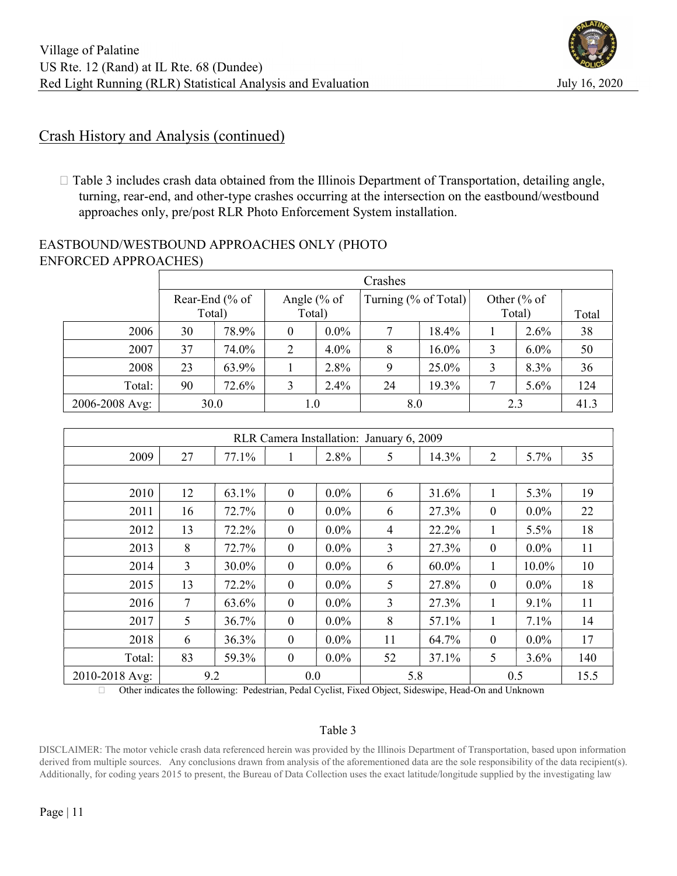## Crash History and Analysis (continued)

 $\Box$  Table 3 includes crash data obtained from the Illinois Department of Transportation, detailing angle, turning, rear-end, and other-type crashes occurring at the intersection on the eastbound/westbound approaches only, pre/post RLR Photo Enforcement System installation.

## EASTBOUND/WESTBOUND APPROACHES ONLY (PHOTO ENFORCED APPROACHES)

|                | Crashes        |        |              |         |                      |       |              |         |      |  |
|----------------|----------------|--------|--------------|---------|----------------------|-------|--------------|---------|------|--|
|                | Rear-End (% of |        | Angle $% of$ |         | Turning (% of Total) |       | Other $% of$ |         |      |  |
|                |                | Total) |              | Total)  |                      |       |              | Total)  |      |  |
| 2006           | 30             | 78.9%  | $\theta$     | $0.0\%$ | 7                    | 18.4% |              | 2.6%    | 38   |  |
| 2007           | 37             | 74.0%  | 2            | $4.0\%$ | 8                    | 16.0% | 3            | $6.0\%$ | 50   |  |
| 2008           | 23             | 63.9%  |              | 2.8%    | 9                    | 25.0% | 3            | 8.3%    | 36   |  |
| Total:         | 90             | 72.6%  | 3            | 2.4%    | 24                   | 19.3% | 7            | 5.6%    | 124  |  |
| 2006-2008 Avg: |                | 30.0   | $1.0\,$      |         | 8.0                  |       | 2.3          |         | 41.3 |  |

| RLR Camera Installation: January 6, 2009 |                |       |                  |         |     |       |                  |         |      |  |
|------------------------------------------|----------------|-------|------------------|---------|-----|-------|------------------|---------|------|--|
| 2009                                     | 27             | 77.1% |                  | 2.8%    | 5   | 14.3% | $\overline{2}$   | 5.7%    | 35   |  |
|                                          |                |       |                  |         |     |       |                  |         |      |  |
| 2010                                     | 12             | 63.1% | $\mathbf{0}$     | $0.0\%$ | 6   | 31.6% |                  | 5.3%    | 19   |  |
| 2011                                     | 16             | 72.7% | $\theta$         | $0.0\%$ | 6   | 27.3% | $\theta$         | $0.0\%$ | 22   |  |
| 2012                                     | 13             | 72.2% | $\boldsymbol{0}$ | $0.0\%$ | 4   | 22.2% | 1                | 5.5%    | 18   |  |
| 2013                                     | 8              | 72.7% | $\boldsymbol{0}$ | $0.0\%$ | 3   | 27.3% | $\boldsymbol{0}$ | $0.0\%$ | 11   |  |
| 2014                                     | $\overline{3}$ | 30.0% | $\mathbf{0}$     | $0.0\%$ | 6   | 60.0% | 1                | 10.0%   | 10   |  |
| 2015                                     | 13             | 72.2% | $\mathbf{0}$     | $0.0\%$ | 5   | 27.8% | $\mathbf{0}$     | $0.0\%$ | 18   |  |
| 2016                                     | 7              | 63.6% | $\boldsymbol{0}$ | $0.0\%$ | 3   | 27.3% | 1                | $9.1\%$ | 11   |  |
| 2017                                     | 5              | 36.7% | $\boldsymbol{0}$ | $0.0\%$ | 8   | 57.1% | 1                | 7.1%    | 14   |  |
| 2018                                     | 6              | 36.3% | $\mathbf{0}$     | $0.0\%$ | 11  | 64.7% | $\theta$         | $0.0\%$ | 17   |  |
| Total:                                   | 83             | 59.3% | $\mathbf{0}$     | $0.0\%$ | 52  | 37.1% | 5                | 3.6%    | 140  |  |
| 2010-2018 Avg:                           | 9.2            |       | 0.0              |         | 5.8 |       | 0.5              |         | 15.5 |  |

Other indicates the following: Pedestrian, Pedal Cyclist, Fixed Object, Sideswipe, Head-On and Unknown

#### Table 3

DISCLAIMER: The motor vehicle crash data referenced herein was provided by the Illinois Department of Transportation, based upon information derived from multiple sources. Any conclusions drawn from analysis of the aforementioned data are the sole responsibility of the data recipient(s). Additionally, for coding years 2015 to present, the Bureau of Data Collection uses the exact latitude/longitude supplied by the investigating law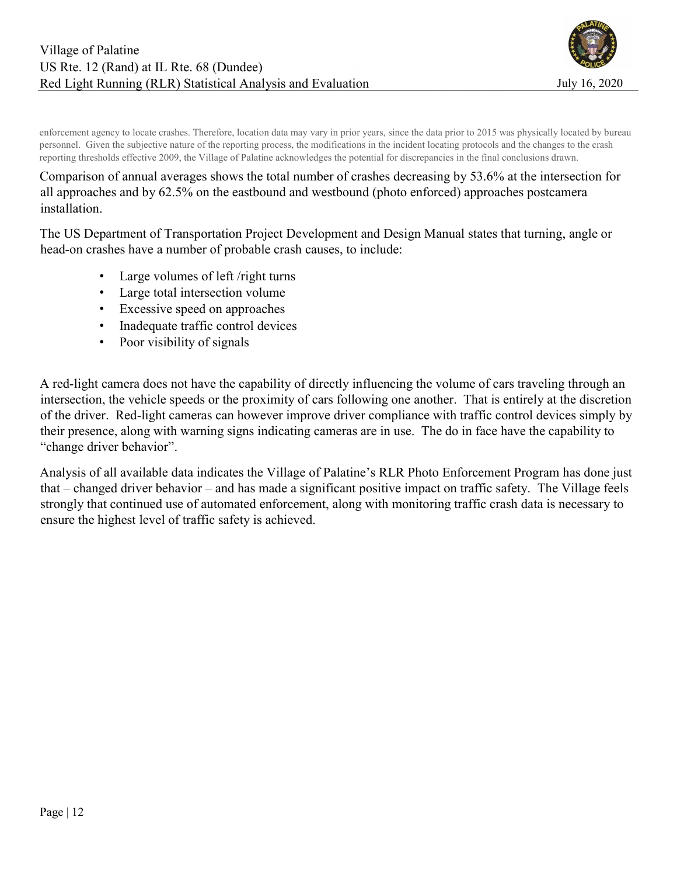

enforcement agency to locate crashes. Therefore, location data may vary in prior years, since the data prior to 2015 was physically located by bureau personnel. Given the subjective nature of the reporting process, the modifications in the incident locating protocols and the changes to the crash reporting thresholds effective 2009, the Village of Palatine acknowledges the potential for discrepancies in the final conclusions drawn.

### Comparison of annual averages shows the total number of crashes decreasing by 53.6% at the intersection for all approaches and by 62.5% on the eastbound and westbound (photo enforced) approaches postcamera installation.

The US Department of Transportation Project Development and Design Manual states that turning, angle or head-on crashes have a number of probable crash causes, to include:

- Large volumes of left /right turns
- Large total intersection volume
- Excessive speed on approaches
- Inadequate traffic control devices
- Poor visibility of signals

A red-light camera does not have the capability of directly influencing the volume of cars traveling through an intersection, the vehicle speeds or the proximity of cars following one another. That is entirely at the discretion of the driver. Red-light cameras can however improve driver compliance with traffic control devices simply by their presence, along with warning signs indicating cameras are in use. The do in face have the capability to "change driver behavior".

Analysis of all available data indicates the Village of Palatine's RLR Photo Enforcement Program has done just that – changed driver behavior – and has made a significant positive impact on traffic safety. The Village feels strongly that continued use of automated enforcement, along with monitoring traffic crash data is necessary to ensure the highest level of traffic safety is achieved.